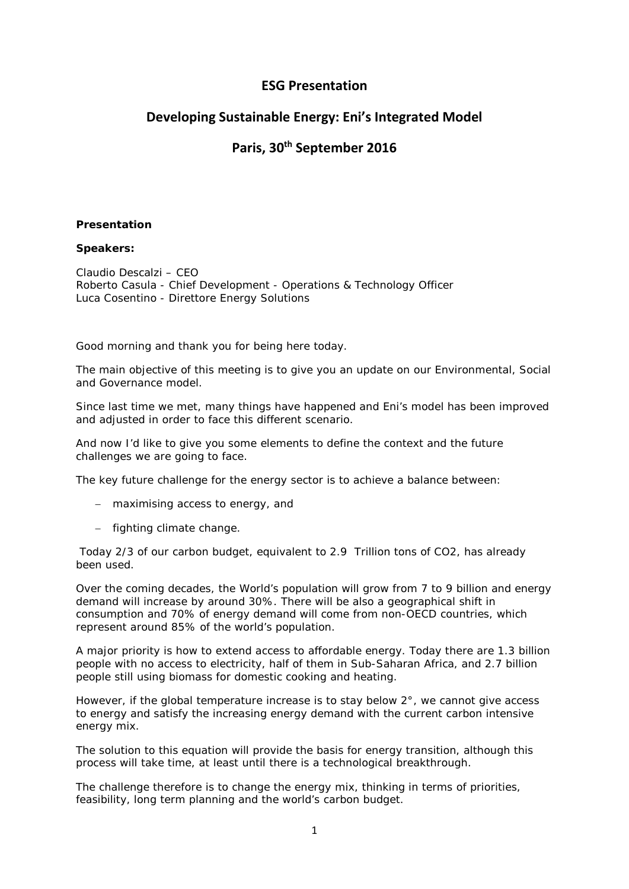## **ESG Presentation**

# **Developing Sustainable Energy: Eni's Integrated Model**

# **Paris, 30th September 2016**

## **Presentation**

## **Speakers:**

Claudio Descalzi – CEO Roberto Casula - Chief Development - [Operations & Technology Officer](https://www.eni.com/it_IT/azienda/i-nostri-manager/cv-roberto-casula-chief-development.page) Luca Cosentino - [Direttore Energy Solutions](https://www.eni.com/it_IT/azienda/i-nostri-manager/cv-luca-cosentino-direttore-energy-solutions.page)

Good morning and thank you for being here today.

The main objective of this meeting is to give you an update on our Environmental, Social and Governance model.

Since last time we met, many things have happened and Eni's model has been improved and adjusted in order to face this different scenario.

And now I'd like to give you some elements to define the context and the future challenges we are going to face.

The key future challenge for the energy sector is to achieve a balance between:

- − maximising access to energy, and
- − fighting climate change.

Today 2/3 of our carbon budget, equivalent to 2.9 Trillion tons of CO2, has already been used.

Over the coming decades, the World's population will grow from 7 to 9 billion and energy demand will increase by around 30%. There will be also a geographical shift in consumption and 70% of energy demand will come from non-OECD countries, which represent around 85% of the world's population.

A major priority is how to extend access to affordable energy. Today there are 1.3 billion people with no access to electricity, half of them in Sub-Saharan Africa, and 2.7 billion people still using biomass for domestic cooking and heating.

However, if the global temperature increase is to stay below  $2^\circ$ , we cannot give access to energy and satisfy the increasing energy demand with the current carbon intensive energy mix.

The solution to this equation will provide the basis for energy transition, although this process will take time, at least until there is a technological breakthrough.

The challenge therefore is to change the energy mix, thinking in terms of priorities, feasibility, long term planning and the world's carbon budget.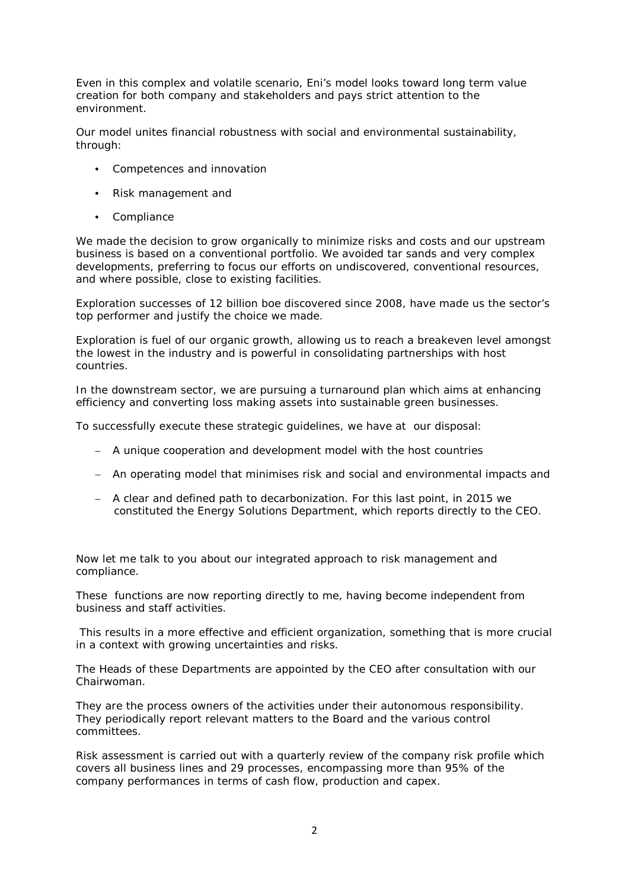Even in this complex and volatile scenario, Eni's model looks toward long term value creation for both company and stakeholders and pays strict attention to the environment.

Our model unites financial robustness with social and environmental sustainability, through:

- Competences and innovation
- Risk management and
- Compliance

We made the decision to grow organically to minimize risks and costs and our upstream business is based on a conventional portfolio. We avoided tar sands and very complex developments, preferring to focus our efforts on undiscovered, conventional resources, and where possible, close to existing facilities.

Exploration successes of 12 billion boe discovered since 2008, have made us the sector's top performer and justify the choice we made.

Exploration is fuel of our organic growth, allowing us to reach a breakeven level amongst the lowest in the industry and is powerful in consolidating partnerships with host countries.

In the downstream sector, we are pursuing a turnaround plan which aims at enhancing efficiency and converting loss making assets into sustainable green businesses.

To successfully execute these strategic guidelines, we have at our disposal:

- − A unique cooperation and development model with the host countries
- − An operating model that minimises risk and social and environmental impacts and
- − A clear and defined path to decarbonization. For this last point, in 2015 we constituted the Energy Solutions Department, which reports directly to the CEO.

Now let me talk to you about our integrated approach to risk management and compliance.

These functions are now reporting directly to me, having become independent from business and staff activities.

This results in a more effective and efficient organization, something that is more crucial in a context with growing uncertainties and risks.

The Heads of these Departments are appointed by the CEO after consultation with our Chairwoman.

They are the process owners of the activities under their autonomous responsibility. They periodically report relevant matters to the Board and the various control committees.

Risk assessment is carried out with a quarterly review of the company risk profile which covers all business lines and 29 processes, encompassing more than 95% of the company performances in terms of cash flow, production and capex.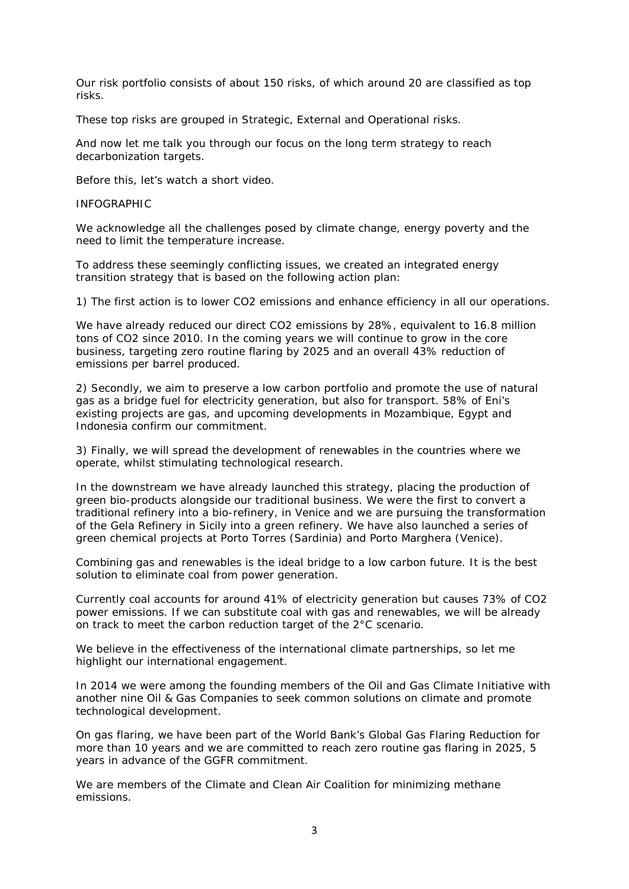Our risk portfolio consists of about 150 risks, of which around 20 are classified as top risks.

These top risks are grouped in Strategic, External and Operational risks.

And now let me talk you through our focus on the long term strategy to reach decarbonization targets.

Before this, let's watch a short video.

#### INFOGRAPHIC

We acknowledge all the challenges posed by climate change, energy poverty and the need to limit the temperature increase.

To address these seemingly conflicting issues, we created an integrated energy transition strategy that is based on the following action plan:

1) The first action is to lower CO2 emissions and enhance efficiency in all our operations.

We have already reduced our direct CO2 emissions by 28%, equivalent to 16.8 million tons of CO2 since 2010. In the coming years we will continue to grow in the core business, targeting zero routine flaring by 2025 and an overall 43% reduction of emissions per barrel produced.

2) Secondly, we aim to preserve a low carbon portfolio and promote the use of natural gas as a bridge fuel for electricity generation, but also for transport. 58% of Eni's existing projects are gas, and upcoming developments in Mozambique, Egypt and Indonesia confirm our commitment.

3) Finally, we will spread the development of renewables in the countries where we operate, whilst stimulating technological research.

In the downstream we have already launched this strategy, placing the production of green bio-products alongside our traditional business. We were the first to convert a traditional refinery into a bio-refinery, in Venice and we are pursuing the transformation of the Gela Refinery in Sicily into a green refinery. We have also launched a series of green chemical projects at Porto Torres (Sardinia) and Porto Marghera (Venice).

Combining gas and renewables is the ideal bridge to a low carbon future. It is the best solution to eliminate coal from power generation.

Currently coal accounts for around 41% of electricity generation but causes 73% of CO2 power emissions. If we can substitute coal with gas and renewables, we will be already on track to meet the carbon reduction target of the 2°C scenario.

We believe in the effectiveness of the international climate partnerships, so let me highlight our international engagement.

In 2014 we were among the founding members of the Oil and Gas Climate Initiative with another nine Oil & Gas Companies to seek common solutions on climate and promote technological development.

On gas flaring, we have been part of the World Bank's Global Gas Flaring Reduction for more than 10 years and we are committed to reach zero routine gas flaring in 2025, 5 years in advance of the GGFR commitment.

We are members of the Climate and Clean Air Coalition for minimizing methane emissions.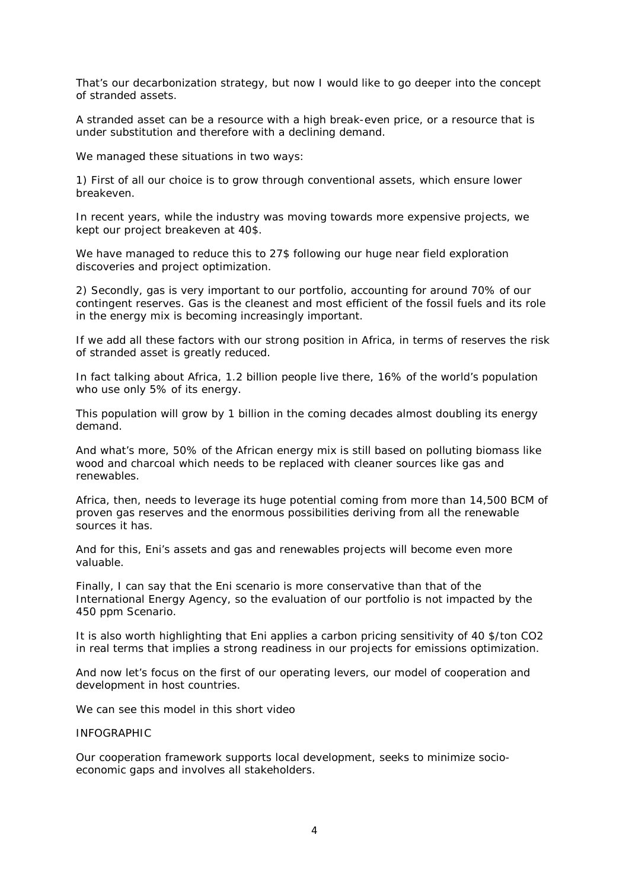That's our decarbonization strategy, but now I would like to go deeper into the concept of stranded assets.

A stranded asset can be a resource with a high break-even price, or a resource that is under substitution and therefore with a declining demand.

We managed these situations in two ways:

1) First of all our choice is to grow through conventional assets, which ensure lower breakeven.

In recent years, while the industry was moving towards more expensive projects, we kept our project breakeven at 40\$.

We have managed to reduce this to 27\$ following our huge near field exploration discoveries and project optimization.

2) Secondly, gas is very important to our portfolio, accounting for around 70% of our contingent reserves. Gas is the cleanest and most efficient of the fossil fuels and its role in the energy mix is becoming increasingly important.

If we add all these factors with our strong position in Africa, in terms of reserves the risk of stranded asset is greatly reduced.

In fact talking about Africa, 1.2 billion people live there, 16% of the world's population who use only 5% of its energy.

This population will grow by 1 billion in the coming decades almost doubling its energy demand.

And what's more, 50% of the African energy mix is still based on polluting biomass like wood and charcoal which needs to be replaced with cleaner sources like gas and renewables.

Africa, then, needs to leverage its huge potential coming from more than 14,500 BCM of proven gas reserves and the enormous possibilities deriving from all the renewable sources it has.

And for this, Eni's assets and gas and renewables projects will become even more valuable.

Finally, I can say that the Eni scenario is more conservative than that of the International Energy Agency, so the evaluation of our portfolio is not impacted by the 450 ppm Scenario.

It is also worth highlighting that Eni applies a carbon pricing sensitivity of 40 \$/ton CO2 in real terms that implies a strong readiness in our projects for emissions optimization.

And now let's focus on the first of our operating levers, our model of cooperation and development in host countries.

We can see this model in this short video

### INFOGRAPHIC

Our cooperation framework supports local development, seeks to minimize socioeconomic gaps and involves all stakeholders.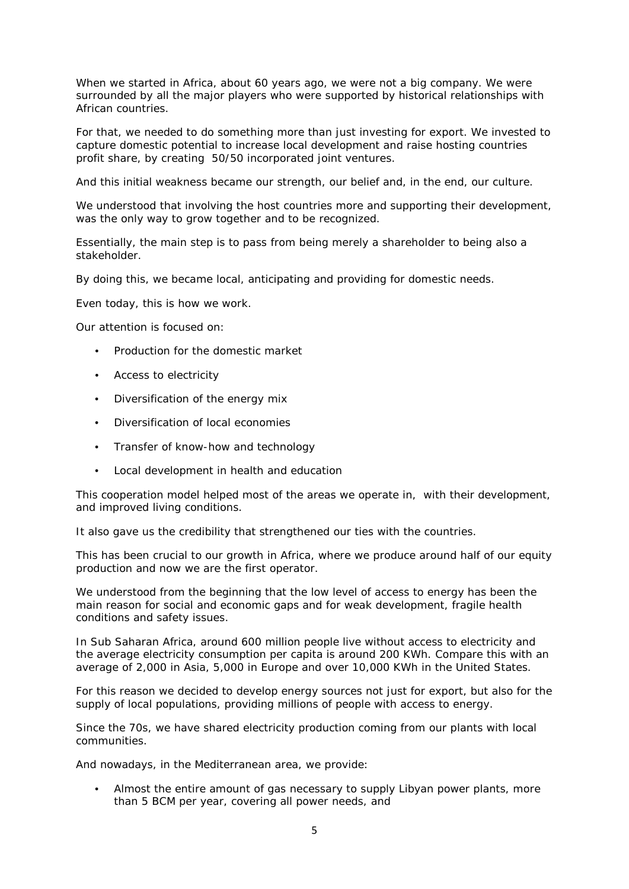When we started in Africa, about 60 years ago, we were not a big company. We were surrounded by all the major players who were supported by historical relationships with African countries.

For that, we needed to do something more than just investing for export. We invested to capture domestic potential to increase local development and raise hosting countries profit share, by creating 50/50 incorporated joint ventures.

And this initial weakness became our strength, our belief and, in the end, our culture.

We understood that involving the host countries more and supporting their development, was the only way to grow together and to be recognized.

Essentially, the main step is to pass from being merely a shareholder to being also a stakeholder.

By doing this, we became local, anticipating and providing for domestic needs.

Even today, this is how we work.

Our attention is focused on:

- Production for the domestic market
- Access to electricity
- Diversification of the energy mix
- Diversification of local economies
- Transfer of know-how and technology
- Local development in health and education

This cooperation model helped most of the areas we operate in, with their development, and improved living conditions.

It also gave us the credibility that strengthened our ties with the countries.

This has been crucial to our growth in Africa, where we produce around half of our equity production and now we are the first operator.

We understood from the beginning that the low level of access to energy has been the main reason for social and economic gaps and for weak development, fragile health conditions and safety issues.

In Sub Saharan Africa, around 600 million people live without access to electricity and the average electricity consumption per capita is around 200 KWh. Compare this with an average of 2,000 in Asia, 5,000 in Europe and over 10,000 KWh in the United States.

For this reason we decided to develop energy sources not just for export, but also for the supply of local populations, providing millions of people with access to energy.

Since the 70s, we have shared electricity production coming from our plants with local communities.

And nowadays, in the Mediterranean area, we provide:

• Almost the entire amount of gas necessary to supply Libyan power plants, more than 5 BCM per year, covering all power needs, and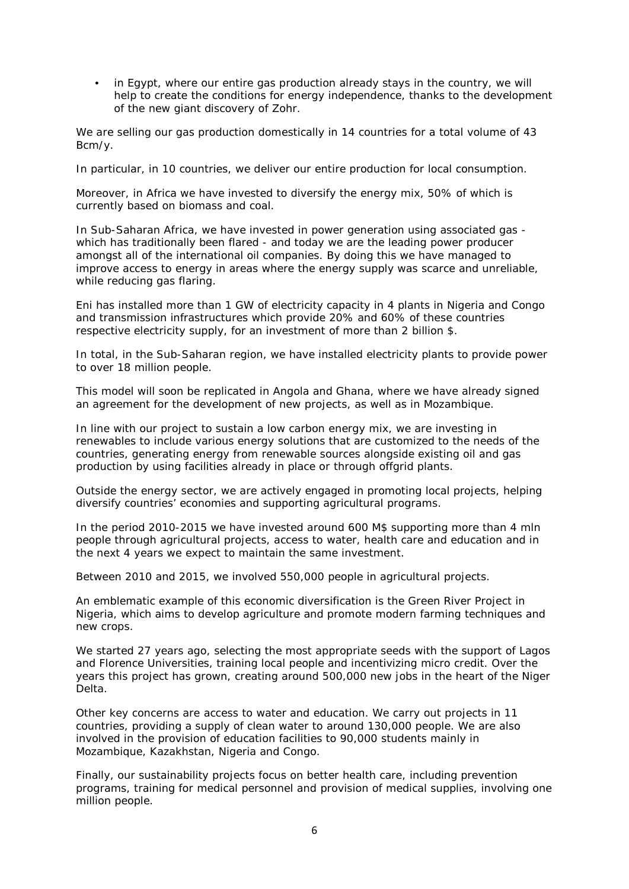• in Egypt, where our entire gas production already stays in the country, we will help to create the conditions for energy independence, thanks to the development of the new giant discovery of Zohr.

We are selling our gas production domestically in 14 countries for a total volume of 43 Bcm/y.

In particular, in 10 countries, we deliver our entire production for local consumption.

Moreover, in Africa we have invested to diversify the energy mix, 50% of which is currently based on biomass and coal.

In Sub-Saharan Africa, we have invested in power generation using associated gas which has traditionally been flared - and today we are the leading power producer amongst all of the international oil companies. By doing this we have managed to improve access to energy in areas where the energy supply was scarce and unreliable, while reducing gas flaring.

Eni has installed more than 1 GW of electricity capacity in 4 plants in Nigeria and Congo and transmission infrastructures which provide 20% and 60% of these countries respective electricity supply, for an investment of more than 2 billion \$.

In total, in the Sub-Saharan region, we have installed electricity plants to provide power to over 18 million people.

This model will soon be replicated in Angola and Ghana, where we have already signed an agreement for the development of new projects, as well as in Mozambique.

In line with our project to sustain a low carbon energy mix, we are investing in renewables to include various energy solutions that are customized to the needs of the countries, generating energy from renewable sources alongside existing oil and gas production by using facilities already in place or through offgrid plants.

Outside the energy sector, we are actively engaged in promoting local projects, helping diversify countries' economies and supporting agricultural programs.

In the period 2010-2015 we have invested around 600 M\$ supporting more than 4 mln people through agricultural projects, access to water, health care and education and in the next 4 years we expect to maintain the same investment.

Between 2010 and 2015, we involved 550,000 people in agricultural projects.

An emblematic example of this economic diversification is the Green River Project in Nigeria, which aims to develop agriculture and promote modern farming techniques and new crops.

We started 27 years ago, selecting the most appropriate seeds with the support of Lagos and Florence Universities, training local people and incentivizing micro credit. Over the years this project has grown, creating around 500,000 new jobs in the heart of the Niger Delta.

Other key concerns are access to water and education. We carry out projects in 11 countries, providing a supply of clean water to around 130,000 people. We are also involved in the provision of education facilities to 90,000 students mainly in Mozambique, Kazakhstan, Nigeria and Congo.

Finally, our sustainability projects focus on better health care, including prevention programs, training for medical personnel and provision of medical supplies, involving one million people.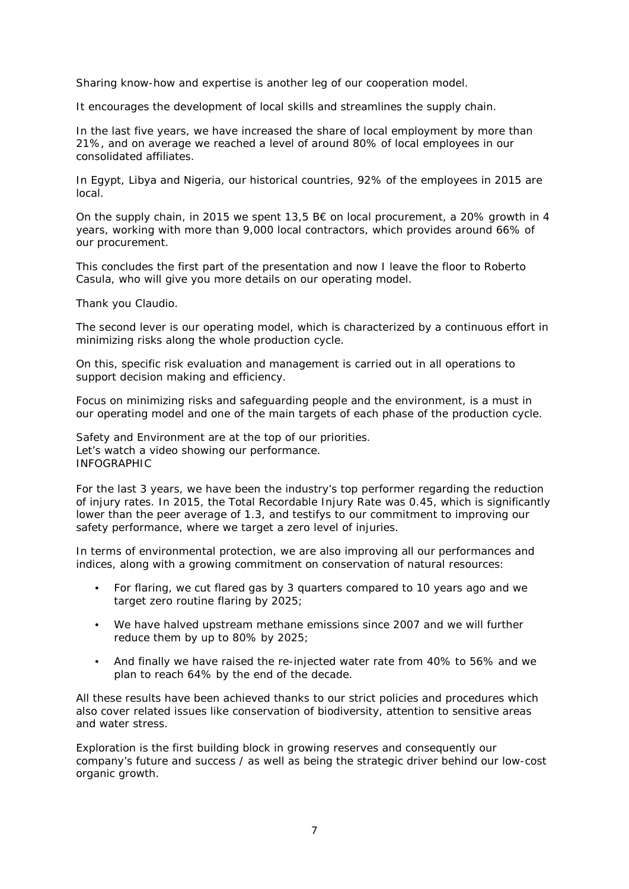Sharing know-how and expertise is another leg of our cooperation model.

It encourages the development of local skills and streamlines the supply chain.

In the last five years, we have increased the share of local employment by more than 21%, and on average we reached a level of around 80% of local employees in our consolidated affiliates.

In Egypt, Libya and Nigeria, our historical countries, 92% of the employees in 2015 are local.

On the supply chain, in 2015 we spent 13,5  $B\epsilon$  on local procurement, a 20% growth in 4 years, working with more than 9,000 local contractors, which provides around 66% of our procurement.

This concludes the first part of the presentation and now I leave the floor to Roberto Casula, who will give you more details on our operating model.

Thank you Claudio.

The second lever is our operating model, which is characterized by a continuous effort in minimizing risks along the whole production cycle.

On this, specific risk evaluation and management is carried out in all operations to support decision making and efficiency.

Focus on minimizing risks and safeguarding people and the environment, is a must in our operating model and one of the main targets of each phase of the production cycle.

Safety and Environment are at the top of our priorities. Let's watch a video showing our performance. INFOGRAPHIC

For the last 3 years, we have been the industry's top performer regarding the reduction of injury rates. In 2015, the Total Recordable Injury Rate was 0.45, which is significantly lower than the peer average of 1.3, and testifys to our commitment to improving our safety performance, where we target a zero level of injuries.

In terms of environmental protection, we are also improving all our performances and indices, along with a growing commitment on conservation of natural resources:

- For flaring, we cut flared gas by 3 quarters compared to 10 years ago and we target zero routine flaring by 2025;
- We have halved upstream methane emissions since 2007 and we will further reduce them by up to 80% by 2025;
- And finally we have raised the re-injected water rate from 40% to 56% and we plan to reach 64% by the end of the decade.

All these results have been achieved thanks to our strict policies and procedures which also cover related issues like conservation of biodiversity, attention to sensitive areas and water stress.

Exploration is the first building block in growing reserves and consequently our company's future and success / as well as being the strategic driver behind our low-cost organic growth.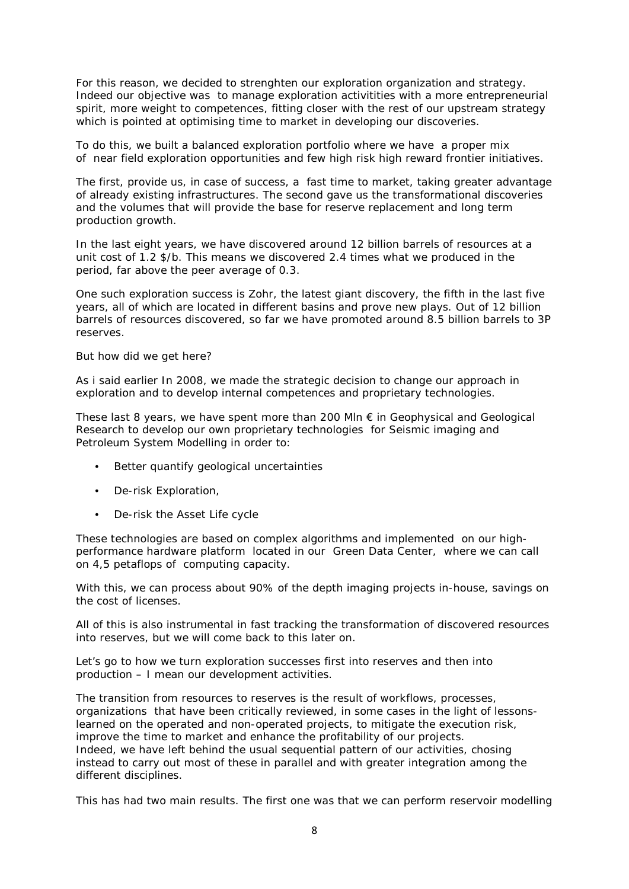For this reason, we decided to strenghten our exploration organization and strategy. Indeed our objective was to manage exploration activitities with a more entrepreneurial spirit, more weight to competences, fitting closer with the rest of our upstream strategy which is pointed at optimising time to market in developing our discoveries.

To do this, we built a balanced exploration portfolio where we have a proper mix of near field exploration opportunities and few high risk high reward frontier initiatives.

The first, provide us, in case of success, a fast time to market, taking greater advantage of already existing infrastructures. The second gave us the transformational discoveries and the volumes that will provide the base for reserve replacement and long term production growth.

In the last eight years, we have discovered around 12 billion barrels of resources at a unit cost of 1.2 \$/b. This means we discovered 2.4 times what we produced in the period, far above the peer average of 0.3.

One such exploration success is Zohr, the latest giant discovery, the fifth in the last five years, all of which are located in different basins and prove new plays. Out of 12 billion barrels of resources discovered, so far we have promoted around 8.5 billion barrels to 3P reserves.

But how did we get here?

As i said earlier In 2008, we made the strategic decision to change our approach in exploration and to develop internal competences and proprietary technologies.

These last 8 years, we have spent more than 200 Mln  $\epsilon$  in Geophysical and Geological Research to develop our own proprietary technologies for Seismic imaging and Petroleum System Modelling in order to:

- Better quantify geological uncertainties
- De-risk Exploration,
- De-risk the Asset Life cycle

These technologies are based on complex algorithms and implemented on our highperformance hardware platform located in our Green Data Center, where we can call on 4,5 petaflops of computing capacity.

With this, we can process about 90% of the depth imaging projects in-house, savings on the cost of licenses.

All of this is also instrumental in fast tracking the transformation of discovered resources into reserves, but we will come back to this later on.

Let's go to how we turn exploration successes first into reserves and then into production – I mean our development activities.

The transition from resources to reserves is the result of workflows, processes, organizations that have been critically reviewed, in some cases in the light of lessonslearned on the operated and non-operated projects, to mitigate the execution risk, improve the time to market and enhance the profitability of our projects. Indeed, we have left behind the usual sequential pattern of our activities, chosing instead to carry out most of these in parallel and with greater integration among the different disciplines.

This has had two main results. The first one was that we can perform reservoir modelling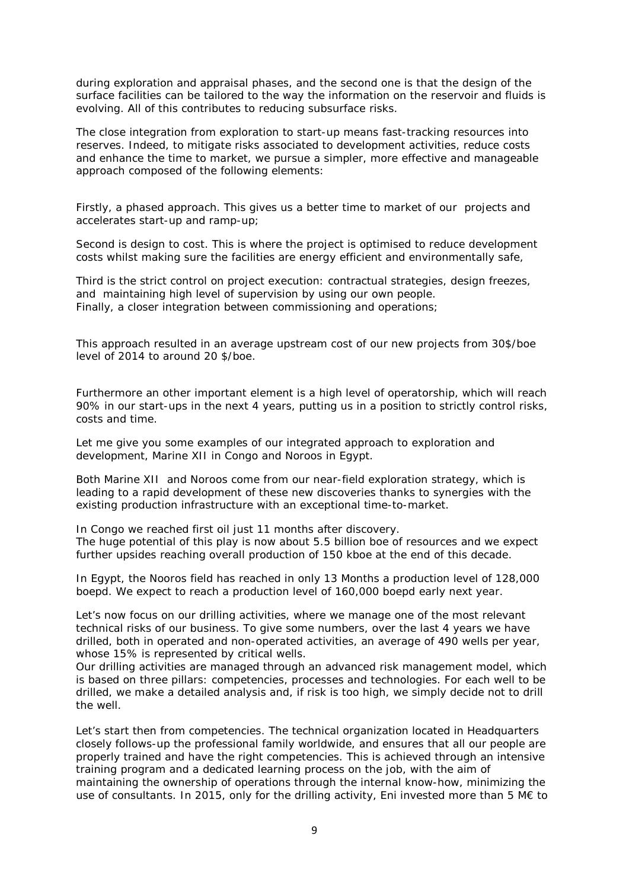during exploration and appraisal phases, and the second one is that the design of the surface facilities can be tailored to the way the information on the reservoir and fluids is evolving. All of this contributes to reducing subsurface risks.

The close integration from exploration to start-up means fast-tracking resources into reserves. Indeed, to mitigate risks associated to development activities, reduce costs and enhance the time to market, we pursue a simpler, more effective and manageable approach composed of the following elements:

Firstly, a phased approach. This gives us a better time to market of our projects and accelerates start-up and ramp-up;

Second is design to cost. This is where the project is optimised to reduce development costs whilst making sure the facilities are energy efficient and environmentally safe,

Third is the strict control on project execution: contractual strategies, design freezes, and maintaining high level of supervision by using our own people. Finally, a closer integration between commissioning and operations;

This approach resulted in an average upstream cost of our new projects from 30\$/boe level of 2014 to around 20 \$/boe.

Furthermore an other important element is a high level of operatorship, which will reach 90% in our start-ups in the next 4 years, putting us in a position to strictly control risks, costs and time.

Let me give you some examples of our integrated approach to exploration and development, Marine XII in Congo and Noroos in Egypt.

Both Marine XII and Noroos come from our near-field exploration strategy, which is leading to a rapid development of these new discoveries thanks to synergies with the existing production infrastructure with an exceptional time-to-market.

In Congo we reached first oil just 11 months after discovery. The huge potential of this play is now about 5.5 billion boe of resources and we expect further upsides reaching overall production of 150 kboe at the end of this decade.

In Egypt, the Nooros field has reached in only 13 Months a production level of 128,000 boepd. We expect to reach a production level of 160,000 boepd early next year.

Let's now focus on our drilling activities, where we manage one of the most relevant technical risks of our business. To give some numbers, over the last 4 years we have drilled, both in operated and non-operated activities, an average of 490 wells per year, whose 15% is represented by critical wells.

Our drilling activities are managed through an advanced risk management model, which is based on three pillars: competencies, processes and technologies. For each well to be drilled, we make a detailed analysis and, if risk is too high, we simply decide not to drill the well.

Let's start then from competencies. The technical organization located in Headquarters closely follows-up the professional family worldwide, and ensures that all our people are properly trained and have the right competencies. This is achieved through an intensive training program and a dedicated learning process on the job, with the aim of maintaining the ownership of operations through the internal know-how, minimizing the use of consultants. In 2015, only for the drilling activity, Eni invested more than 5 M€ to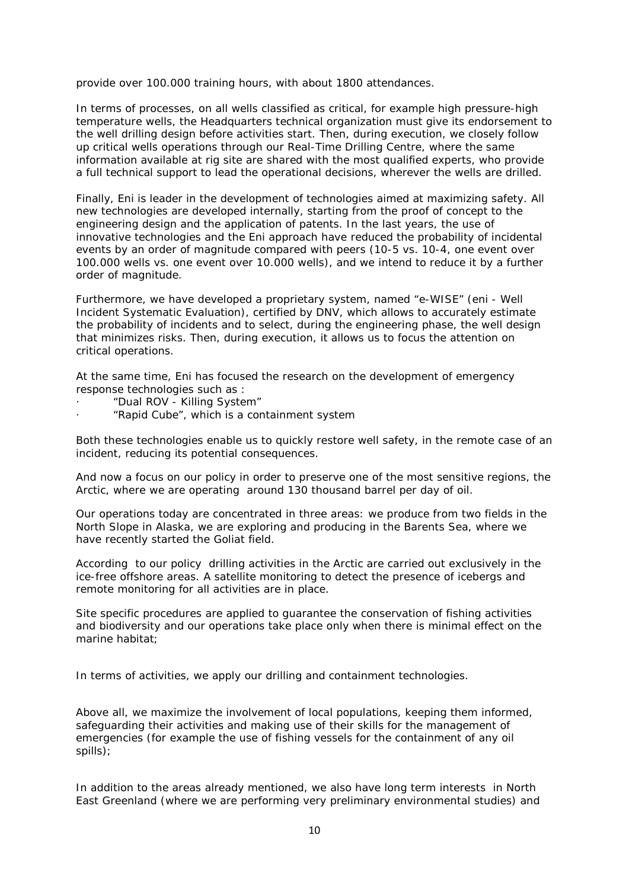provide over 100.000 training hours, with about 1800 attendances.

In terms of processes, on all wells classified as critical, for example high pressure-high temperature wells, the Headquarters technical organization must give its endorsement to the well drilling design before activities start. Then, during execution, we closely follow up critical wells operations through our Real-Time Drilling Centre, where the same information available at rig site are shared with the most qualified experts, who provide a full technical support to lead the operational decisions, wherever the wells are drilled.

Finally, Eni is leader in the development of technologies aimed at maximizing safety. All new technologies are developed internally, starting from the proof of concept to the engineering design and the application of patents. In the last years, the use of innovative technologies and the Eni approach have reduced the probability of incidental events by an order of magnitude compared with peers (10-5 vs. 10-4, one event over 100.000 wells vs. one event over 10.000 wells), and we intend to reduce it by a further order of magnitude.

Furthermore, we have developed a proprietary system, named "e-WISE" (eni - Well Incident Systematic Evaluation), certified by DNV, which allows to accurately estimate the probability of incidents and to select, during the engineering phase, the well design that minimizes risks. Then, during execution, it allows us to focus the attention on critical operations.

At the same time, Eni has focused the research on the development of emergency response technologies such as :

- · "Dual ROV Killing System"
- · "Rapid Cube", which is a containment system

Both these technologies enable us to quickly restore well safety, in the remote case of an incident, reducing its potential consequences.

And now a focus on our policy in order to preserve one of the most sensitive regions, the Arctic, where we are operating around 130 thousand barrel per day of oil.

Our operations today are concentrated in three areas: we produce from two fields in the North Slope in Alaska, we are exploring and producing in the Barents Sea, where we have recently started the Goliat field.

According to our policy drilling activities in the Arctic are carried out exclusively in the ice-free offshore areas. A satellite monitoring to detect the presence of icebergs and remote monitoring for all activities are in place.

Site specific procedures are applied to guarantee the conservation of fishing activities and biodiversity and our operations take place only when there is minimal effect on the marine habitat;

In terms of activities, we apply our drilling and containment technologies.

Above all, we maximize the involvement of local populations, keeping them informed, safeguarding their activities and making use of their skills for the management of emergencies (for example the use of fishing vessels for the containment of any oil spills);

In addition to the areas already mentioned, we also have long term interests in North East Greenland (where we are performing very preliminary environmental studies) and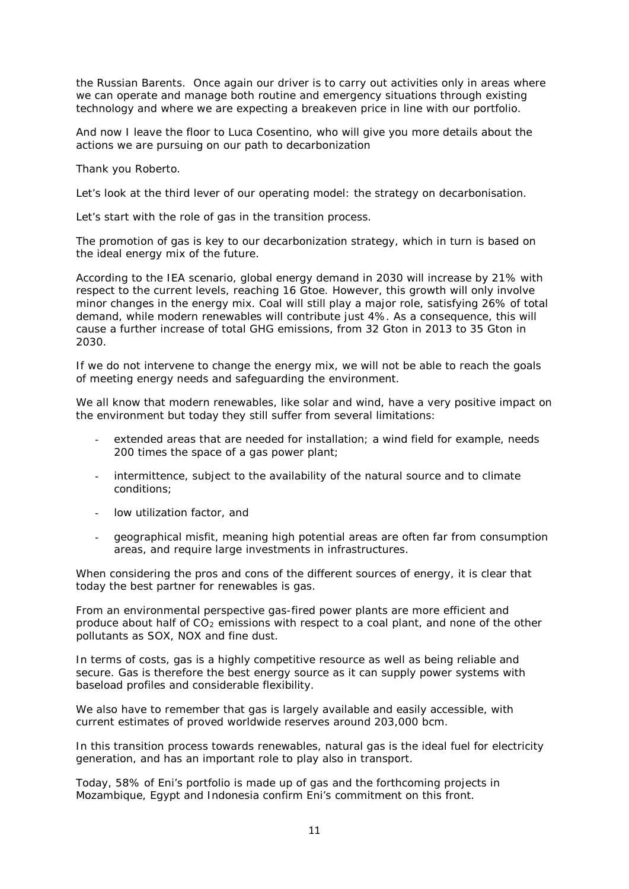the Russian Barents. Once again our driver is to carry out activities only in areas where we can operate and manage both routine and emergency situations through existing technology and where we are expecting a breakeven price in line with our portfolio.

And now I leave the floor to Luca Cosentino, who will give you more details about the actions we are pursuing on our path to decarbonization

Thank you Roberto.

Let's look at the third lever of our operating model: the strategy on decarbonisation.

Let's start with the role of gas in the transition process.

The promotion of gas is key to our decarbonization strategy, which in turn is based on the ideal energy mix of the future.

According to the IEA scenario, global energy demand in 2030 will increase by 21% with respect to the current levels, reaching 16 Gtoe. However, this growth will only involve minor changes in the energy mix. Coal will still play a major role, satisfying 26% of total demand, while modern renewables will contribute just 4%. As a consequence, this will cause a further increase of total GHG emissions, from 32 Gton in 2013 to 35 Gton in 2030.

If we do not intervene to change the energy mix, we will not be able to reach the goals of meeting energy needs and safeguarding the environment.

We all know that modern renewables, like solar and wind, have a very positive impact on the environment but today they still suffer from several limitations:

- extended areas that are needed for installation; a wind field for example, needs 200 times the space of a gas power plant;
- intermittence, subject to the availability of the natural source and to climate conditions;
- low utilization factor, and
- geographical misfit, meaning high potential areas are often far from consumption areas, and require large investments in infrastructures.

When considering the pros and cons of the different sources of energy, it is clear that today the best partner for renewables is gas.

From an environmental perspective gas-fired power plants are more efficient and produce about half of  $CO<sub>2</sub>$  emissions with respect to a coal plant, and none of the other pollutants as SOX, NOX and fine dust.

In terms of costs, gas is a highly competitive resource as well as being reliable and secure. Gas is therefore the best energy source as it can supply power systems with baseload profiles and considerable flexibility.

We also have to remember that gas is largely available and easily accessible, with current estimates of proved worldwide reserves around 203,000 bcm.

In this transition process towards renewables, natural gas is the ideal fuel for electricity generation, and has an important role to play also in transport.

Today, 58% of Eni's portfolio is made up of gas and the forthcoming projects in Mozambique, Egypt and Indonesia confirm Eni's commitment on this front.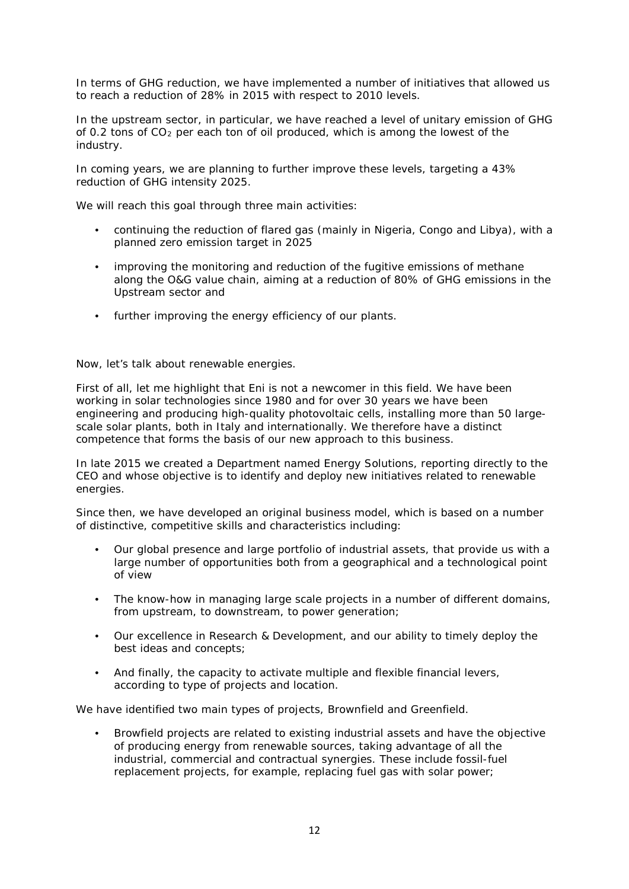In terms of GHG reduction, we have implemented a number of initiatives that allowed us to reach a reduction of 28% in 2015 with respect to 2010 levels.

In the upstream sector, in particular, we have reached a level of unitary emission of GHG of 0.2 tons of CO2 per each ton of oil produced, which is among the lowest of the industry.

In coming years, we are planning to further improve these levels, targeting a 43% reduction of GHG intensity 2025.

We will reach this goal through three main activities:

- continuing the reduction of flared gas (mainly in Nigeria, Congo and Libya), with a planned zero emission target in 2025
- improving the monitoring and reduction of the fugitive emissions of methane along the O&G value chain, aiming at a reduction of 80% of GHG emissions in the Upstream sector and
- further improving the energy efficiency of our plants.

Now, let's talk about renewable energies.

First of all, let me highlight that Eni is not a newcomer in this field. We have been working in solar technologies since 1980 and for over 30 years we have been engineering and producing high-quality photovoltaic cells, installing more than 50 largescale solar plants, both in Italy and internationally. We therefore have a distinct competence that forms the basis of our new approach to this business.

In late 2015 we created a Department named Energy Solutions, reporting directly to the CEO and whose objective is to identify and deploy new initiatives related to renewable energies.

Since then, we have developed an original business model, which is based on a number of distinctive, competitive skills and characteristics including:

- Our global presence and large portfolio of industrial assets, that provide us with a large number of opportunities both from a geographical and a technological point of view
- The know-how in managing large scale projects in a number of different domains, from upstream, to downstream, to power generation;
- Our excellence in Research & Development, and our ability to timely deploy the best ideas and concepts;
- And finally, the capacity to activate multiple and flexible financial levers, according to type of projects and location.

We have identified two main types of projects, Brownfield and Greenfield.

• Browfield projects are related to existing industrial assets and have the objective of producing energy from renewable sources, taking advantage of all the industrial, commercial and contractual synergies. These include fossil-fuel replacement projects, for example, replacing fuel gas with solar power;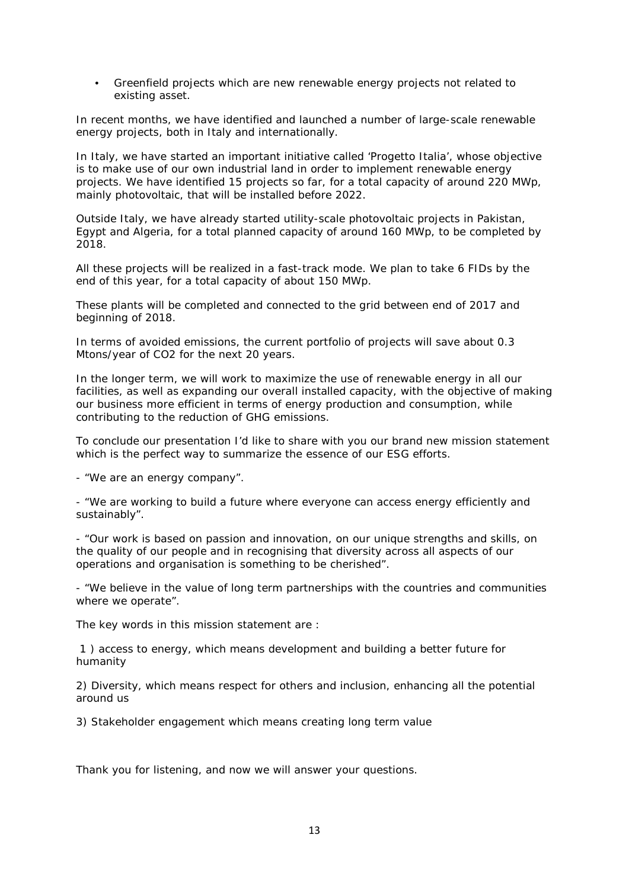• Greenfield projects which are new renewable energy projects not related to existing asset.

In recent months, we have identified and launched a number of large-scale renewable energy projects, both in Italy and internationally.

In Italy, we have started an important initiative called 'Progetto Italia', whose objective is to make use of our own industrial land in order to implement renewable energy projects. We have identified 15 projects so far, for a total capacity of around 220 MWp, mainly photovoltaic, that will be installed before 2022.

Outside Italy, we have already started utility-scale photovoltaic projects in Pakistan, Egypt and Algeria, for a total planned capacity of around 160 MWp, to be completed by 2018.

All these projects will be realized in a fast-track mode. We plan to take 6 FIDs by the end of this year, for a total capacity of about 150 MWp.

These plants will be completed and connected to the grid between end of 2017 and beginning of 2018.

In terms of avoided emissions, the current portfolio of projects will save about 0.3 Mtons/year of CO2 for the next 20 years.

In the longer term, we will work to maximize the use of renewable energy in all our facilities, as well as expanding our overall installed capacity, with the objective of making our business more efficient in terms of energy production and consumption, while contributing to the reduction of GHG emissions.

To conclude our presentation I'd like to share with you our brand new mission statement which is the perfect way to summarize the essence of our ESG efforts.

- "*We are an energy company*".

- "*We are working to build a future where everyone can access energy efficiently and sustainably".* 

*- "Our work is based on passion and innovation, on our unique strengths and skills, on the quality of our people and in recognising that diversity across all aspects of our operations and organisation is something to be cherished".*

*- "We believe in the value of long term partnerships with the countries and communities where we operate".*

The key words in this mission statement are :

1 ) *access to energy*, which means development and building a better future for humanity

2) *Diversity,* which means respect for others and inclusion, enhancing all the potential around us

3) *Stakeholder engagement* which means creating long term value

Thank you for listening, and now we will answer your questions.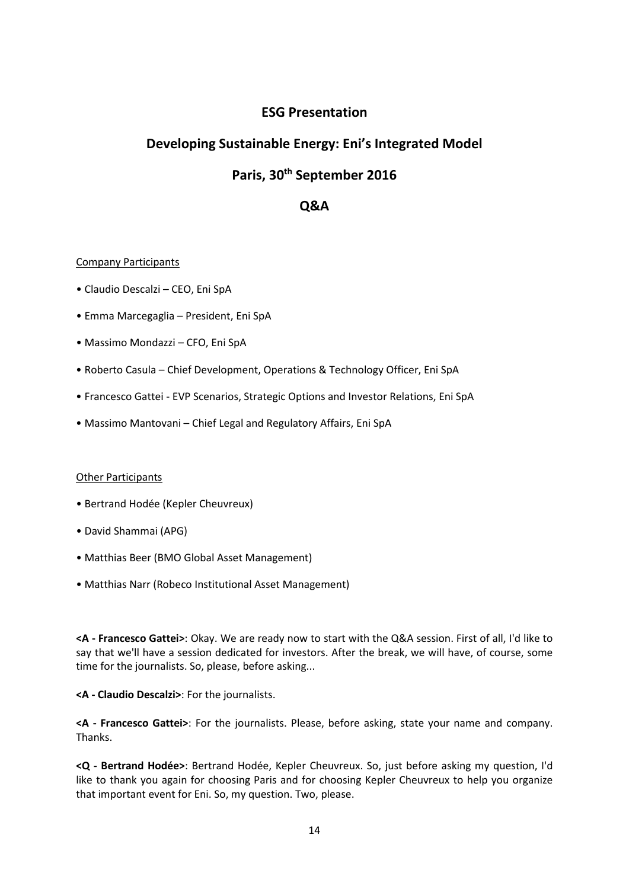## **ESG Presentation**

# **Developing Sustainable Energy: Eni's Integrated Model**

# **Paris, 30th September 2016**

## **Q&A**

## Company Participants

- Claudio Descalzi CEO, Eni SpA
- Emma Marcegaglia President, Eni SpA
- Massimo Mondazzi CFO, Eni SpA
- Roberto Casula Chief Development, Operations & Technology Officer, Eni SpA
- Francesco Gattei EVP Scenarios, Strategic Options and Investor Relations, Eni SpA
- Massimo Mantovani Chief Legal and Regulatory Affairs, Eni SpA

## **Other Participants**

- Bertrand Hodée (Kepler Cheuvreux)
- David Shammai (APG)
- Matthias Beer (BMO Global Asset Management)
- Matthias Narr (Robeco Institutional Asset Management)

**<A - Francesco Gattei>**: Okay. We are ready now to start with the Q&A session. First of all, I'd like to say that we'll have a session dedicated for investors. After the break, we will have, of course, some time for the journalists. So, please, before asking...

## **<A - Claudio Descalzi>**: For the journalists.

**<A - Francesco Gattei>**: For the journalists. Please, before asking, state your name and company. Thanks.

**<Q - Bertrand Hodée>**: Bertrand Hodée, Kepler Cheuvreux. So, just before asking my question, I'd like to thank you again for choosing Paris and for choosing Kepler Cheuvreux to help you organize that important event for Eni. So, my question. Two, please.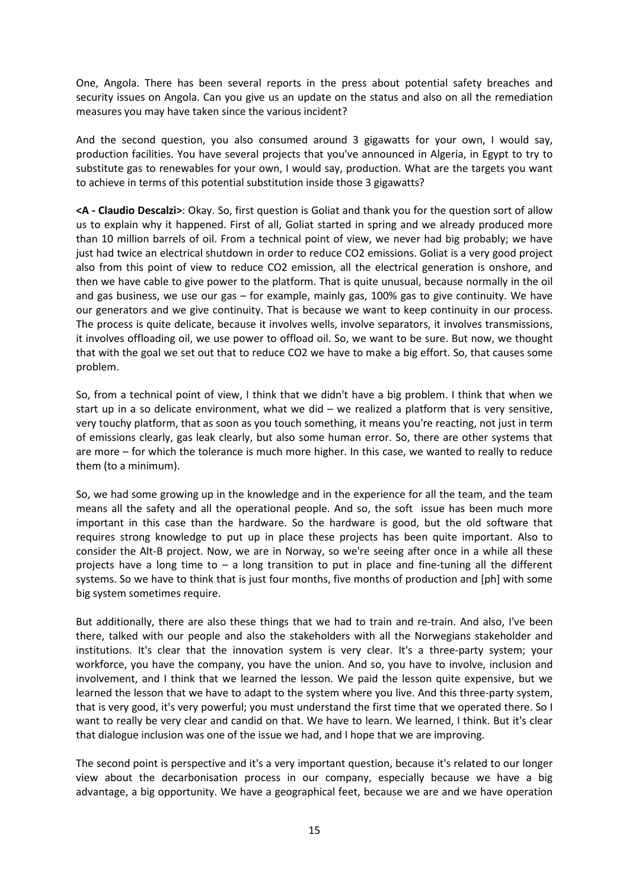One, Angola. There has been several reports in the press about potential safety breaches and security issues on Angola. Can you give us an update on the status and also on all the remediation measures you may have taken since the various incident?

And the second question, you also consumed around 3 gigawatts for your own, I would say, production facilities. You have several projects that you've announced in Algeria, in Egypt to try to substitute gas to renewables for your own, I would say, production. What are the targets you want to achieve in terms of this potential substitution inside those 3 gigawatts?

**<A - Claudio Descalzi>**: Okay. So, first question is Goliat and thank you for the question sort of allow us to explain why it happened. First of all, Goliat started in spring and we already produced more than 10 million barrels of oil. From a technical point of view, we never had big probably; we have just had twice an electrical shutdown in order to reduce CO2 emissions. Goliat is a very good project also from this point of view to reduce CO2 emission, all the electrical generation is onshore, and then we have cable to give power to the platform. That is quite unusual, because normally in the oil and gas business, we use our gas – for example, mainly gas, 100% gas to give continuity. We have our generators and we give continuity. That is because we want to keep continuity in our process. The process is quite delicate, because it involves wells, involve separators, it involves transmissions, it involves offloading oil, we use power to offload oil. So, we want to be sure. But now, we thought that with the goal we set out that to reduce CO2 we have to make a big effort. So, that causes some problem.

So, from a technical point of view, I think that we didn't have a big problem. I think that when we start up in a so delicate environment, what we did – we realized a platform that is very sensitive, very touchy platform, that as soon as you touch something, it means you're reacting, not just in term of emissions clearly, gas leak clearly, but also some human error. So, there are other systems that are more – for which the tolerance is much more higher. In this case, we wanted to really to reduce them (to a minimum).

So, we had some growing up in the knowledge and in the experience for all the team, and the team means all the safety and all the operational people. And so, the soft issue has been much more important in this case than the hardware. So the hardware is good, but the old software that requires strong knowledge to put up in place these projects has been quite important. Also to consider the Alt-B project. Now, we are in Norway, so we're seeing after once in a while all these projects have a long time to  $-$  a long transition to put in place and fine-tuning all the different systems. So we have to think that is just four months, five months of production and [ph] with some big system sometimes require.

But additionally, there are also these things that we had to train and re-train. And also, I've been there, talked with our people and also the stakeholders with all the Norwegians stakeholder and institutions. It's clear that the innovation system is very clear. It's a three-party system; your workforce, you have the company, you have the union. And so, you have to involve, inclusion and involvement, and I think that we learned the lesson. We paid the lesson quite expensive, but we learned the lesson that we have to adapt to the system where you live. And this three-party system, that is very good, it's very powerful; you must understand the first time that we operated there. So I want to really be very clear and candid on that. We have to learn. We learned, I think. But it's clear that dialogue inclusion was one of the issue we had, and I hope that we are improving.

The second point is perspective and it's a very important question, because it's related to our longer view about the decarbonisation process in our company, especially because we have a big advantage, a big opportunity. We have a geographical feet, because we are and we have operation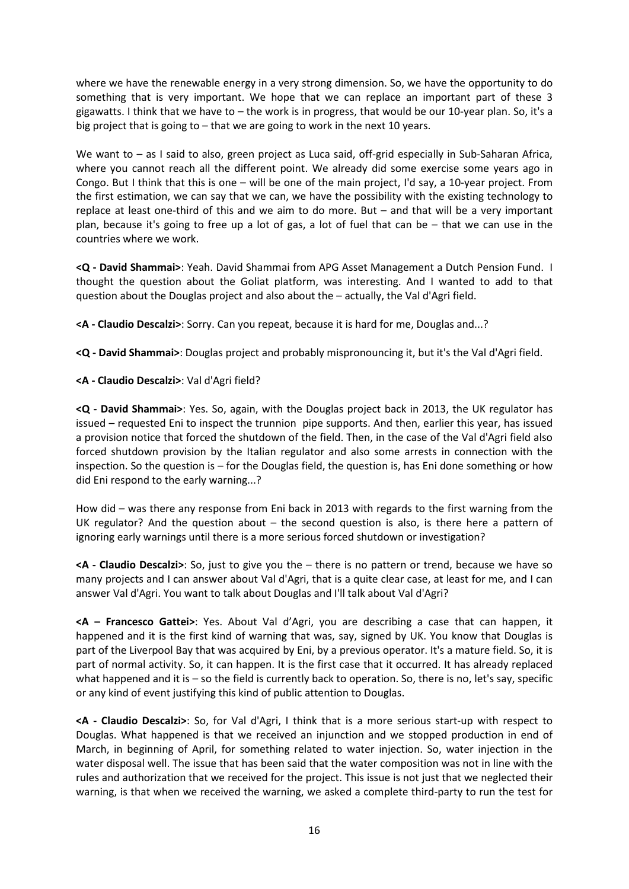where we have the renewable energy in a very strong dimension. So, we have the opportunity to do something that is very important. We hope that we can replace an important part of these 3 gigawatts. I think that we have to – the work is in progress, that would be our 10-year plan. So, it's a big project that is going to – that we are going to work in the next 10 years.

We want to – as I said to also, green project as Luca said, off-grid especially in Sub-Saharan Africa, where you cannot reach all the different point. We already did some exercise some years ago in Congo. But I think that this is one – will be one of the main project, I'd say, a 10-year project. From the first estimation, we can say that we can, we have the possibility with the existing technology to replace at least one-third of this and we aim to do more. But – and that will be a very important plan, because it's going to free up a lot of gas, a lot of fuel that can be – that we can use in the countries where we work.

**<Q - David Shammai>**: Yeah. David Shammai from APG Asset Management a Dutch Pension Fund. I thought the question about the Goliat platform, was interesting. And I wanted to add to that question about the Douglas project and also about the – actually, the Val d'Agri field.

**<A - Claudio Descalzi>**: Sorry. Can you repeat, because it is hard for me, Douglas and...?

**<Q - David Shammai>**: Douglas project and probably mispronouncing it, but it's the Val d'Agri field.

**<A - Claudio Descalzi>**: Val d'Agri field?

**<Q - David Shammai>**: Yes. So, again, with the Douglas project back in 2013, the UK regulator has issued – requested Eni to inspect the trunnion pipe supports. And then, earlier this year, has issued a provision notice that forced the shutdown of the field. Then, in the case of the Val d'Agri field also forced shutdown provision by the Italian regulator and also some arrests in connection with the inspection. So the question is – for the Douglas field, the question is, has Eni done something or how did Eni respond to the early warning...?

How did – was there any response from Eni back in 2013 with regards to the first warning from the UK regulator? And the question about  $-$  the second question is also, is there here a pattern of ignoring early warnings until there is a more serious forced shutdown or investigation?

**<A - Claudio Descalzi>**: So, just to give you the – there is no pattern or trend, because we have so many projects and I can answer about Val d'Agri, that is a quite clear case, at least for me, and I can answer Val d'Agri. You want to talk about Douglas and I'll talk about Val d'Agri?

**<A – Francesco Gattei>**: Yes. About Val d'Agri, you are describing a case that can happen, it happened and it is the first kind of warning that was, say, signed by UK. You know that Douglas is part of the Liverpool Bay that was acquired by Eni, by a previous operator. It's a mature field. So, it is part of normal activity. So, it can happen. It is the first case that it occurred. It has already replaced what happened and it is – so the field is currently back to operation. So, there is no, let's say, specific or any kind of event justifying this kind of public attention to Douglas.

**<A - Claudio Descalzi>**: So, for Val d'Agri, I think that is a more serious start-up with respect to Douglas. What happened is that we received an injunction and we stopped production in end of March, in beginning of April, for something related to water injection. So, water injection in the water disposal well. The issue that has been said that the water composition was not in line with the rules and authorization that we received for the project. This issue is not just that we neglected their warning, is that when we received the warning, we asked a complete third-party to run the test for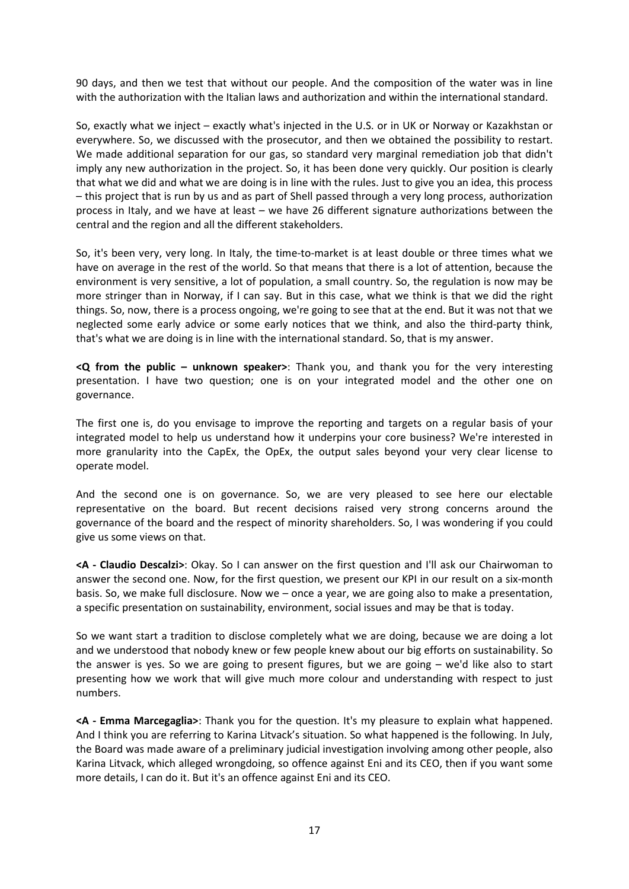90 days, and then we test that without our people. And the composition of the water was in line with the authorization with the Italian laws and authorization and within the international standard.

So, exactly what we inject – exactly what's injected in the U.S. or in UK or Norway or Kazakhstan or everywhere. So, we discussed with the prosecutor, and then we obtained the possibility to restart. We made additional separation for our gas, so standard very marginal remediation job that didn't imply any new authorization in the project. So, it has been done very quickly. Our position is clearly that what we did and what we are doing is in line with the rules. Just to give you an idea, this process – this project that is run by us and as part of Shell passed through a very long process, authorization process in Italy, and we have at least – we have 26 different signature authorizations between the central and the region and all the different stakeholders.

So, it's been very, very long. In Italy, the time-to-market is at least double or three times what we have on average in the rest of the world. So that means that there is a lot of attention, because the environment is very sensitive, a lot of population, a small country. So, the regulation is now may be more stringer than in Norway, if I can say. But in this case, what we think is that we did the right things. So, now, there is a process ongoing, we're going to see that at the end. But it was not that we neglected some early advice or some early notices that we think, and also the third-party think, that's what we are doing is in line with the international standard. So, that is my answer.

**<Q from the public – unknown speaker>**: Thank you, and thank you for the very interesting presentation. I have two question; one is on your integrated model and the other one on governance.

The first one is, do you envisage to improve the reporting and targets on a regular basis of your integrated model to help us understand how it underpins your core business? We're interested in more granularity into the CapEx, the OpEx, the output sales beyond your very clear license to operate model.

And the second one is on governance. So, we are very pleased to see here our electable representative on the board. But recent decisions raised very strong concerns around the governance of the board and the respect of minority shareholders. So, I was wondering if you could give us some views on that.

**<A - Claudio Descalzi>**: Okay. So I can answer on the first question and I'll ask our Chairwoman to answer the second one. Now, for the first question, we present our KPI in our result on a six-month basis. So, we make full disclosure. Now we – once a year, we are going also to make a presentation, a specific presentation on sustainability, environment, social issues and may be that is today.

So we want start a tradition to disclose completely what we are doing, because we are doing a lot and we understood that nobody knew or few people knew about our big efforts on sustainability. So the answer is yes. So we are going to present figures, but we are going – we'd like also to start presenting how we work that will give much more colour and understanding with respect to just numbers.

**<A - Emma Marcegaglia>**: Thank you for the question. It's my pleasure to explain what happened. And I think you are referring to Karina Litvack's situation. So what happened is the following. In July, the Board was made aware of a preliminary judicial investigation involving among other people, also Karina Litvack, which alleged wrongdoing, so offence against Eni and its CEO, then if you want some more details, I can do it. But it's an offence against Eni and its CEO.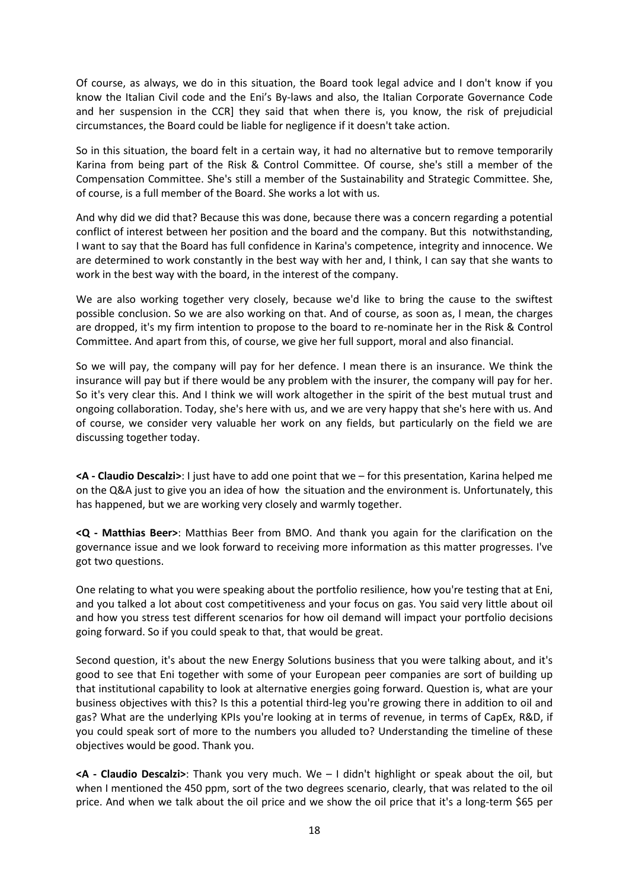Of course, as always, we do in this situation, the Board took legal advice and I don't know if you know the Italian Civil code and the Eni's By-laws and also, the Italian Corporate Governance Code and her suspension in the CCR] they said that when there is, you know, the risk of prejudicial circumstances, the Board could be liable for negligence if it doesn't take action.

So in this situation, the board felt in a certain way, it had no alternative but to remove temporarily Karina from being part of the Risk & Control Committee. Of course, she's still a member of the Compensation Committee. She's still a member of the Sustainability and Strategic Committee. She, of course, is a full member of the Board. She works a lot with us.

And why did we did that? Because this was done, because there was a concern regarding a potential conflict of interest between her position and the board and the company. But this notwithstanding, I want to say that the Board has full confidence in Karina's competence, integrity and innocence. We are determined to work constantly in the best way with her and, I think, I can say that she wants to work in the best way with the board, in the interest of the company.

We are also working together very closely, because we'd like to bring the cause to the swiftest possible conclusion. So we are also working on that. And of course, as soon as, I mean, the charges are dropped, it's my firm intention to propose to the board to re-nominate her in the Risk & Control Committee. And apart from this, of course, we give her full support, moral and also financial.

So we will pay, the company will pay for her defence. I mean there is an insurance. We think the insurance will pay but if there would be any problem with the insurer, the company will pay for her. So it's very clear this. And I think we will work altogether in the spirit of the best mutual trust and ongoing collaboration. Today, she's here with us, and we are very happy that she's here with us. And of course, we consider very valuable her work on any fields, but particularly on the field we are discussing together today.

**<A - Claudio Descalzi>**: I just have to add one point that we – for this presentation, Karina helped me on the Q&A just to give you an idea of how the situation and the environment is. Unfortunately, this has happened, but we are working very closely and warmly together.

**<Q - Matthias Beer>**: Matthias Beer from BMO. And thank you again for the clarification on the governance issue and we look forward to receiving more information as this matter progresses. I've got two questions.

One relating to what you were speaking about the portfolio resilience, how you're testing that at Eni, and you talked a lot about cost competitiveness and your focus on gas. You said very little about oil and how you stress test different scenarios for how oil demand will impact your portfolio decisions going forward. So if you could speak to that, that would be great.

Second question, it's about the new Energy Solutions business that you were talking about, and it's good to see that Eni together with some of your European peer companies are sort of building up that institutional capability to look at alternative energies going forward. Question is, what are your business objectives with this? Is this a potential third-leg you're growing there in addition to oil and gas? What are the underlying KPIs you're looking at in terms of revenue, in terms of CapEx, R&D, if you could speak sort of more to the numbers you alluded to? Understanding the timeline of these objectives would be good. Thank you.

**<A - Claudio Descalzi>**: Thank you very much. We – I didn't highlight or speak about the oil, but when I mentioned the 450 ppm, sort of the two degrees scenario, clearly, that was related to the oil price. And when we talk about the oil price and we show the oil price that it's a long-term \$65 per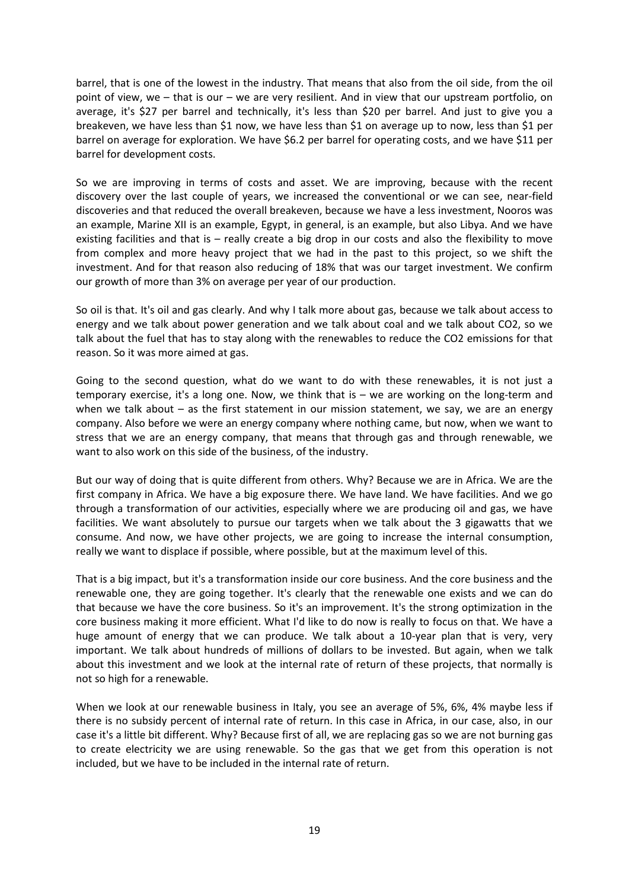barrel, that is one of the lowest in the industry. That means that also from the oil side, from the oil point of view, we – that is our – we are very resilient. And in view that our upstream portfolio, on average, it's \$27 per barrel and technically, it's less than \$20 per barrel. And just to give you a breakeven, we have less than \$1 now, we have less than \$1 on average up to now, less than \$1 per barrel on average for exploration. We have \$6.2 per barrel for operating costs, and we have \$11 per barrel for development costs.

So we are improving in terms of costs and asset. We are improving, because with the recent discovery over the last couple of years, we increased the conventional or we can see, near-field discoveries and that reduced the overall breakeven, because we have a less investment, Nooros was an example, Marine XII is an example, Egypt, in general, is an example, but also Libya. And we have existing facilities and that is – really create a big drop in our costs and also the flexibility to move from complex and more heavy project that we had in the past to this project, so we shift the investment. And for that reason also reducing of 18% that was our target investment. We confirm our growth of more than 3% on average per year of our production.

So oil is that. It's oil and gas clearly. And why I talk more about gas, because we talk about access to energy and we talk about power generation and we talk about coal and we talk about CO2, so we talk about the fuel that has to stay along with the renewables to reduce the CO2 emissions for that reason. So it was more aimed at gas.

Going to the second question, what do we want to do with these renewables, it is not just a temporary exercise, it's a long one. Now, we think that is – we are working on the long-term and when we talk about – as the first statement in our mission statement, we say, we are an energy company. Also before we were an energy company where nothing came, but now, when we want to stress that we are an energy company, that means that through gas and through renewable, we want to also work on this side of the business, of the industry.

But our way of doing that is quite different from others. Why? Because we are in Africa. We are the first company in Africa. We have a big exposure there. We have land. We have facilities. And we go through a transformation of our activities, especially where we are producing oil and gas, we have facilities. We want absolutely to pursue our targets when we talk about the 3 gigawatts that we consume. And now, we have other projects, we are going to increase the internal consumption, really we want to displace if possible, where possible, but at the maximum level of this.

That is a big impact, but it's a transformation inside our core business. And the core business and the renewable one, they are going together. It's clearly that the renewable one exists and we can do that because we have the core business. So it's an improvement. It's the strong optimization in the core business making it more efficient. What I'd like to do now is really to focus on that. We have a huge amount of energy that we can produce. We talk about a 10-year plan that is very, very important. We talk about hundreds of millions of dollars to be invested. But again, when we talk about this investment and we look at the internal rate of return of these projects, that normally is not so high for a renewable.

When we look at our renewable business in Italy, you see an average of 5%, 6%, 4% maybe less if there is no subsidy percent of internal rate of return. In this case in Africa, in our case, also, in our case it's a little bit different. Why? Because first of all, we are replacing gas so we are not burning gas to create electricity we are using renewable. So the gas that we get from this operation is not included, but we have to be included in the internal rate of return.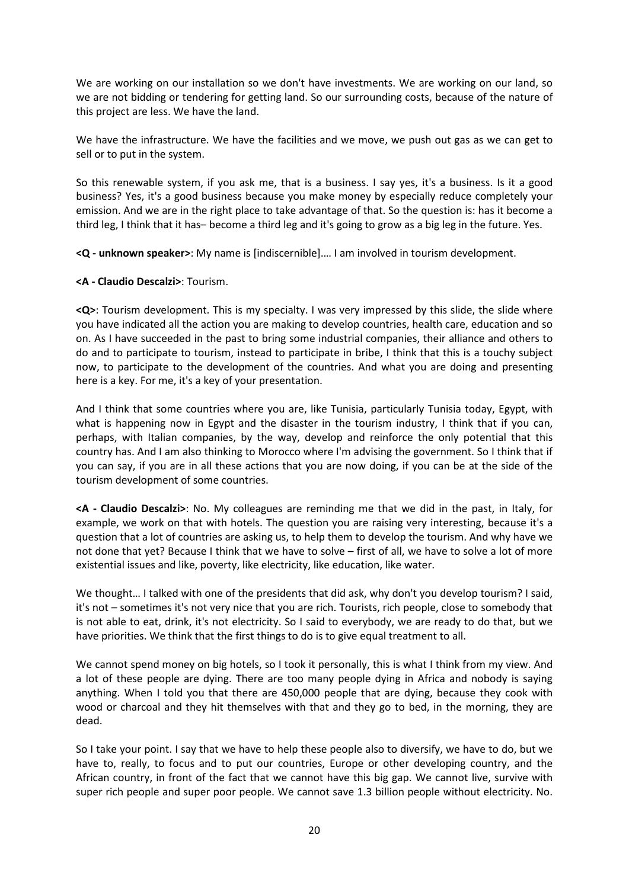We are working on our installation so we don't have investments. We are working on our land, so we are not bidding or tendering for getting land. So our surrounding costs, because of the nature of this project are less. We have the land.

We have the infrastructure. We have the facilities and we move, we push out gas as we can get to sell or to put in the system.

So this renewable system, if you ask me, that is a business. I say yes, it's a business. Is it a good business? Yes, it's a good business because you make money by especially reduce completely your emission. And we are in the right place to take advantage of that. So the question is: has it become a third leg, I think that it has– become a third leg and it's going to grow as a big leg in the future. Yes.

**<Q - unknown speaker>**: My name is [indiscernible].… I am involved in tourism development.

**<A - Claudio Descalzi>**: Tourism.

**<Q>**: Tourism development. This is my specialty. I was very impressed by this slide, the slide where you have indicated all the action you are making to develop countries, health care, education and so on. As I have succeeded in the past to bring some industrial companies, their alliance and others to do and to participate to tourism, instead to participate in bribe, I think that this is a touchy subject now, to participate to the development of the countries. And what you are doing and presenting here is a key. For me, it's a key of your presentation.

And I think that some countries where you are, like Tunisia, particularly Tunisia today, Egypt, with what is happening now in Egypt and the disaster in the tourism industry, I think that if you can, perhaps, with Italian companies, by the way, develop and reinforce the only potential that this country has. And I am also thinking to Morocco where I'm advising the government. So I think that if you can say, if you are in all these actions that you are now doing, if you can be at the side of the tourism development of some countries.

**<A - Claudio Descalzi>**: No. My colleagues are reminding me that we did in the past, in Italy, for example, we work on that with hotels. The question you are raising very interesting, because it's a question that a lot of countries are asking us, to help them to develop the tourism. And why have we not done that yet? Because I think that we have to solve – first of all, we have to solve a lot of more existential issues and like, poverty, like electricity, like education, like water.

We thought... I talked with one of the presidents that did ask, why don't you develop tourism? I said, it's not – sometimes it's not very nice that you are rich. Tourists, rich people, close to somebody that is not able to eat, drink, it's not electricity. So I said to everybody, we are ready to do that, but we have priorities. We think that the first things to do is to give equal treatment to all.

We cannot spend money on big hotels, so I took it personally, this is what I think from my view. And a lot of these people are dying. There are too many people dying in Africa and nobody is saying anything. When I told you that there are 450,000 people that are dying, because they cook with wood or charcoal and they hit themselves with that and they go to bed, in the morning, they are dead.

So I take your point. I say that we have to help these people also to diversify, we have to do, but we have to, really, to focus and to put our countries, Europe or other developing country, and the African country, in front of the fact that we cannot have this big gap. We cannot live, survive with super rich people and super poor people. We cannot save 1.3 billion people without electricity. No.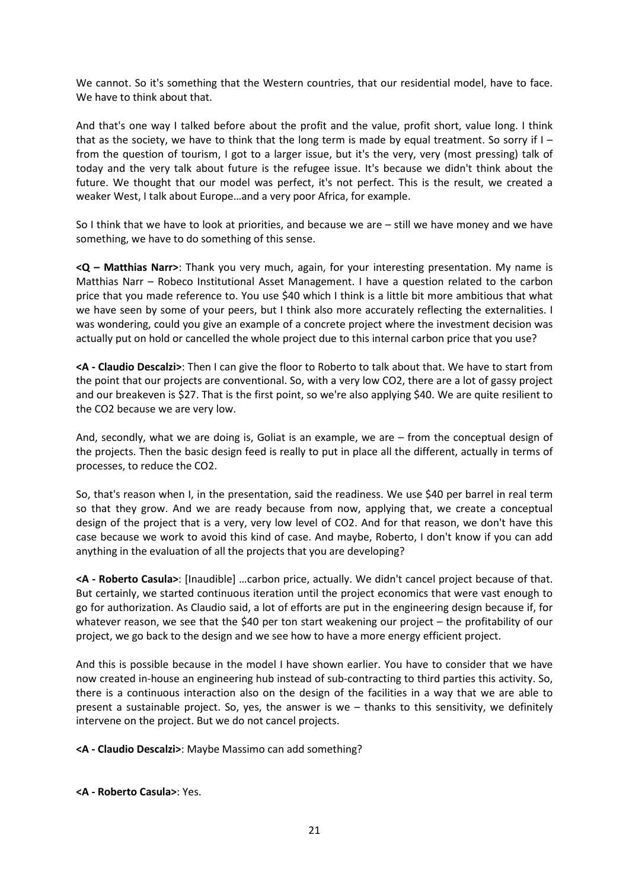We cannot. So it's something that the Western countries, that our residential model, have to face. We have to think about that.

And that's one way I talked before about the profit and the value, profit short, value long. I think that as the society, we have to think that the long term is made by equal treatment. So sorry if  $I$ from the question of tourism, I got to a larger issue, but it's the very, very (most pressing) talk of today and the very talk about future is the refugee issue. It's because we didn't think about the future. We thought that our model was perfect, it's not perfect. This is the result, we created a weaker West, I talk about Europe…and a very poor Africa, for example.

So I think that we have to look at priorities, and because we are – still we have money and we have something, we have to do something of this sense.

**<Q – Matthias Narr>**: Thank you very much, again, for your interesting presentation. My name is Matthias Narr – Robeco Institutional Asset Management. I have a question related to the carbon price that you made reference to. You use \$40 which I think is a little bit more ambitious that what we have seen by some of your peers, but I think also more accurately reflecting the externalities. I was wondering, could you give an example of a concrete project where the investment decision was actually put on hold or cancelled the whole project due to this internal carbon price that you use?

**<A - Claudio Descalzi>**: Then I can give the floor to Roberto to talk about that. We have to start from the point that our projects are conventional. So, with a very low CO2, there are a lot of gassy project and our breakeven is \$27. That is the first point, so we're also applying \$40. We are quite resilient to the CO2 because we are very low.

And, secondly, what we are doing is, Goliat is an example, we are – from the conceptual design of the projects. Then the basic design feed is really to put in place all the different, actually in terms of processes, to reduce the CO2.

So, that's reason when I, in the presentation, said the readiness. We use \$40 per barrel in real term so that they grow. And we are ready because from now, applying that, we create a conceptual design of the project that is a very, very low level of CO2. And for that reason, we don't have this case because we work to avoid this kind of case. And maybe, Roberto, I don't know if you can add anything in the evaluation of all the projects that you are developing?

**<A - Roberto Casula>**: [Inaudible] …carbon price, actually. We didn't cancel project because of that. But certainly, we started continuous iteration until the project economics that were vast enough to go for authorization. As Claudio said, a lot of efforts are put in the engineering design because if, for whatever reason, we see that the \$40 per ton start weakening our project – the profitability of our project, we go back to the design and we see how to have a more energy efficient project.

And this is possible because in the model I have shown earlier. You have to consider that we have now created in-house an engineering hub instead of sub-contracting to third parties this activity. So, there is a continuous interaction also on the design of the facilities in a way that we are able to present a sustainable project. So, yes, the answer is we – thanks to this sensitivity, we definitely intervene on the project. But we do not cancel projects.

**<A - Claudio Descalzi>**: Maybe Massimo can add something?

**<A - Roberto Casula>**: Yes.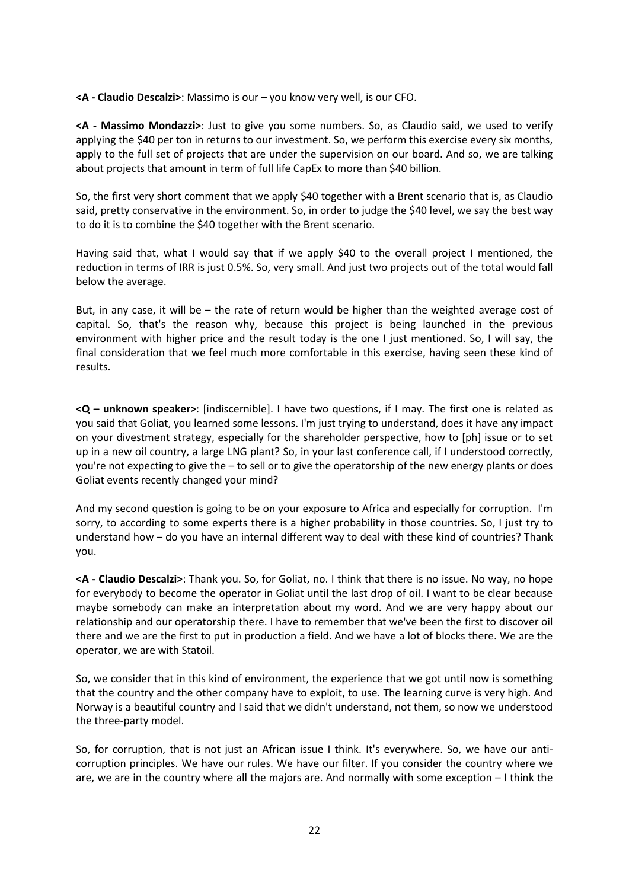**<A - Claudio Descalzi>**: Massimo is our – you know very well, is our CFO.

**<A - Massimo Mondazzi>**: Just to give you some numbers. So, as Claudio said, we used to verify applying the \$40 per ton in returns to our investment. So, we perform this exercise every six months, apply to the full set of projects that are under the supervision on our board. And so, we are talking about projects that amount in term of full life CapEx to more than \$40 billion.

So, the first very short comment that we apply \$40 together with a Brent scenario that is, as Claudio said, pretty conservative in the environment. So, in order to judge the \$40 level, we say the best way to do it is to combine the \$40 together with the Brent scenario.

Having said that, what I would say that if we apply \$40 to the overall project I mentioned, the reduction in terms of IRR is just 0.5%. So, very small. And just two projects out of the total would fall below the average.

But, in any case, it will be – the rate of return would be higher than the weighted average cost of capital. So, that's the reason why, because this project is being launched in the previous environment with higher price and the result today is the one I just mentioned. So, I will say, the final consideration that we feel much more comfortable in this exercise, having seen these kind of results.

**<Q – unknown speaker>**: [indiscernible]. I have two questions, if I may. The first one is related as you said that Goliat, you learned some lessons. I'm just trying to understand, does it have any impact on your divestment strategy, especially for the shareholder perspective, how to [ph] issue or to set up in a new oil country, a large LNG plant? So, in your last conference call, if I understood correctly, you're not expecting to give the – to sell or to give the operatorship of the new energy plants or does Goliat events recently changed your mind?

And my second question is going to be on your exposure to Africa and especially for corruption. I'm sorry, to according to some experts there is a higher probability in those countries. So, I just try to understand how – do you have an internal different way to deal with these kind of countries? Thank you.

**<A - Claudio Descalzi>**: Thank you. So, for Goliat, no. I think that there is no issue. No way, no hope for everybody to become the operator in Goliat until the last drop of oil. I want to be clear because maybe somebody can make an interpretation about my word. And we are very happy about our relationship and our operatorship there. I have to remember that we've been the first to discover oil there and we are the first to put in production a field. And we have a lot of blocks there. We are the operator, we are with Statoil.

So, we consider that in this kind of environment, the experience that we got until now is something that the country and the other company have to exploit, to use. The learning curve is very high. And Norway is a beautiful country and I said that we didn't understand, not them, so now we understood the three-party model.

So, for corruption, that is not just an African issue I think. It's everywhere. So, we have our anticorruption principles. We have our rules. We have our filter. If you consider the country where we are, we are in the country where all the majors are. And normally with some exception – I think the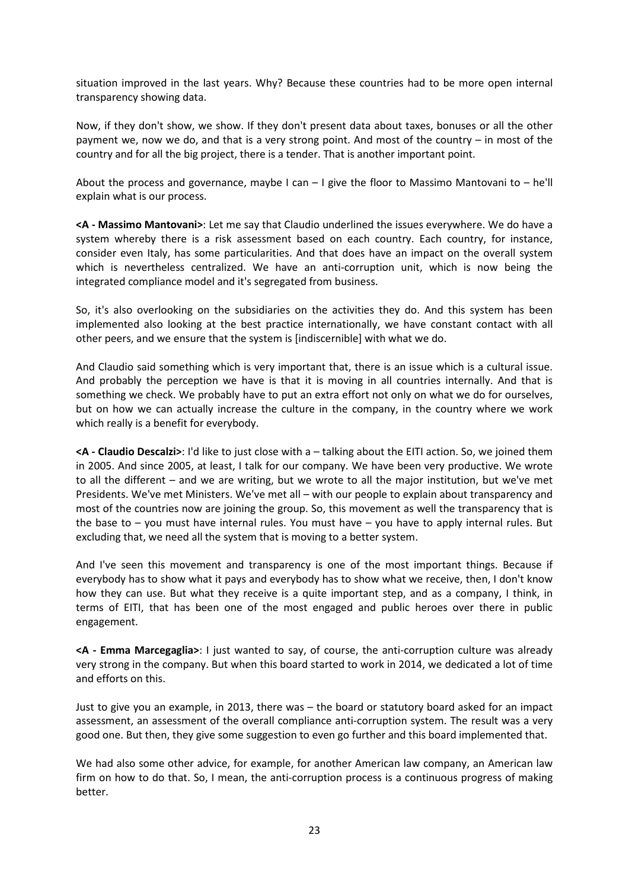situation improved in the last years. Why? Because these countries had to be more open internal transparency showing data.

Now, if they don't show, we show. If they don't present data about taxes, bonuses or all the other payment we, now we do, and that is a very strong point. And most of the country – in most of the country and for all the big project, there is a tender. That is another important point.

About the process and governance, maybe I can  $-1$  give the floor to Massimo Mantovani to  $-$  he'll explain what is our process.

**<A - Massimo Mantovani>**: Let me say that Claudio underlined the issues everywhere. We do have a system whereby there is a risk assessment based on each country. Each country, for instance, consider even Italy, has some particularities. And that does have an impact on the overall system which is nevertheless centralized. We have an anti-corruption unit, which is now being the integrated compliance model and it's segregated from business.

So, it's also overlooking on the subsidiaries on the activities they do. And this system has been implemented also looking at the best practice internationally, we have constant contact with all other peers, and we ensure that the system is [indiscernible] with what we do.

And Claudio said something which is very important that, there is an issue which is a cultural issue. And probably the perception we have is that it is moving in all countries internally. And that is something we check. We probably have to put an extra effort not only on what we do for ourselves, but on how we can actually increase the culture in the company, in the country where we work which really is a benefit for everybody.

**<A - Claudio Descalzi>**: I'd like to just close with a – talking about the EITI action. So, we joined them in 2005. And since 2005, at least, I talk for our company. We have been very productive. We wrote to all the different – and we are writing, but we wrote to all the major institution, but we've met Presidents. We've met Ministers. We've met all – with our people to explain about transparency and most of the countries now are joining the group. So, this movement as well the transparency that is the base to – you must have internal rules. You must have – you have to apply internal rules. But excluding that, we need all the system that is moving to a better system.

And I've seen this movement and transparency is one of the most important things. Because if everybody has to show what it pays and everybody has to show what we receive, then, I don't know how they can use. But what they receive is a quite important step, and as a company, I think, in terms of EITI, that has been one of the most engaged and public heroes over there in public engagement.

**<A - Emma Marcegaglia>**: I just wanted to say, of course, the anti-corruption culture was already very strong in the company. But when this board started to work in 2014, we dedicated a lot of time and efforts on this.

Just to give you an example, in 2013, there was – the board or statutory board asked for an impact assessment, an assessment of the overall compliance anti-corruption system. The result was a very good one. But then, they give some suggestion to even go further and this board implemented that.

We had also some other advice, for example, for another American law company, an American law firm on how to do that. So, I mean, the anti-corruption process is a continuous progress of making better.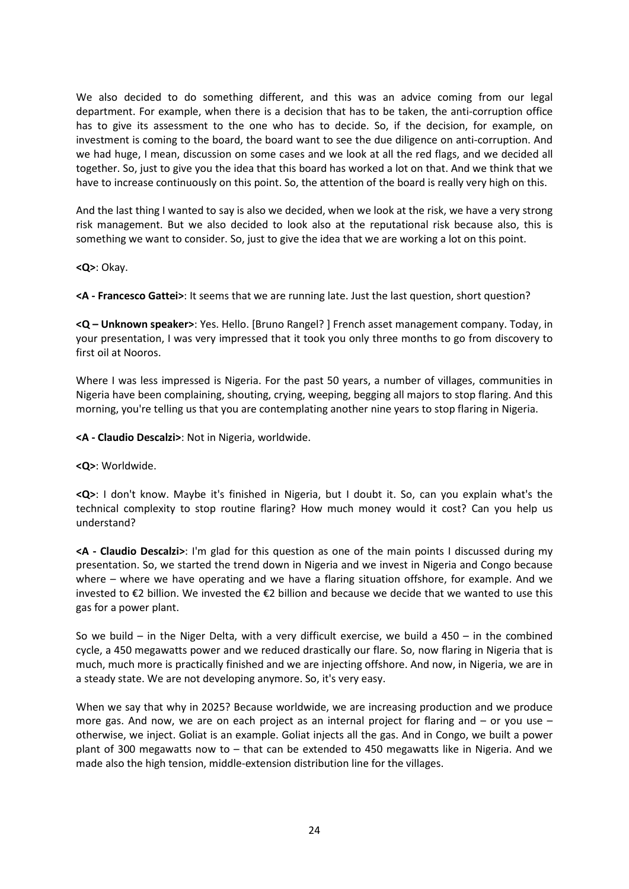We also decided to do something different, and this was an advice coming from our legal department. For example, when there is a decision that has to be taken, the anti-corruption office has to give its assessment to the one who has to decide. So, if the decision, for example, on investment is coming to the board, the board want to see the due diligence on anti-corruption. And we had huge, I mean, discussion on some cases and we look at all the red flags, and we decided all together. So, just to give you the idea that this board has worked a lot on that. And we think that we have to increase continuously on this point. So, the attention of the board is really very high on this.

And the last thing I wanted to say is also we decided, when we look at the risk, we have a very strong risk management. But we also decided to look also at the reputational risk because also, this is something we want to consider. So, just to give the idea that we are working a lot on this point.

**<Q>**: Okay.

**<A - Francesco Gattei>**: It seems that we are running late. Just the last question, short question?

**<Q – Unknown speaker>**: Yes. Hello. [Bruno Rangel? ] French asset management company. Today, in your presentation, I was very impressed that it took you only three months to go from discovery to first oil at Nooros.

Where I was less impressed is Nigeria. For the past 50 years, a number of villages, communities in Nigeria have been complaining, shouting, crying, weeping, begging all majors to stop flaring. And this morning, you're telling us that you are contemplating another nine years to stop flaring in Nigeria.

**<A - Claudio Descalzi>**: Not in Nigeria, worldwide.

**<Q>**: Worldwide.

**<Q>**: I don't know. Maybe it's finished in Nigeria, but I doubt it. So, can you explain what's the technical complexity to stop routine flaring? How much money would it cost? Can you help us understand?

**<A - Claudio Descalzi>**: I'm glad for this question as one of the main points I discussed during my presentation. So, we started the trend down in Nigeria and we invest in Nigeria and Congo because where – where we have operating and we have a flaring situation offshore, for example. And we invested to €2 billion. We invested the €2 billion and because we decide that we wanted to use this gas for a power plant.

So we build – in the Niger Delta, with a very difficult exercise, we build a  $450 -$  in the combined cycle, a 450 megawatts power and we reduced drastically our flare. So, now flaring in Nigeria that is much, much more is practically finished and we are injecting offshore. And now, in Nigeria, we are in a steady state. We are not developing anymore. So, it's very easy.

When we say that why in 2025? Because worldwide, we are increasing production and we produce more gas. And now, we are on each project as an internal project for flaring and – or you use – otherwise, we inject. Goliat is an example. Goliat injects all the gas. And in Congo, we built a power plant of 300 megawatts now to – that can be extended to 450 megawatts like in Nigeria. And we made also the high tension, middle-extension distribution line for the villages.